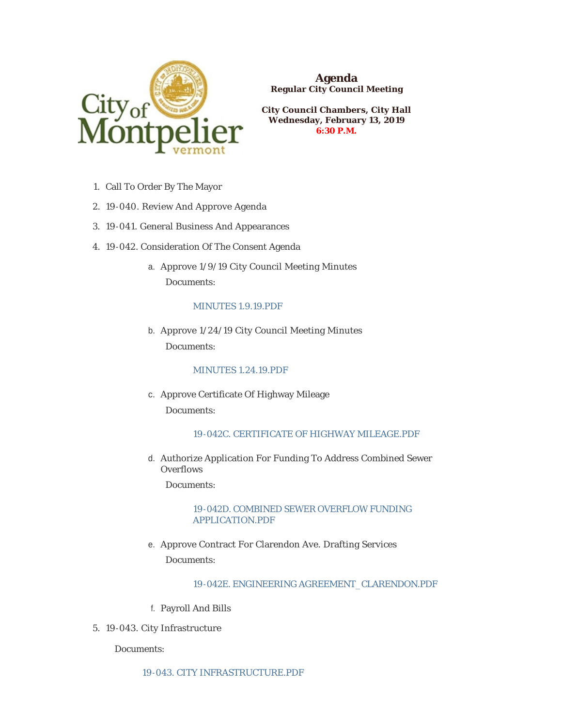

**Agenda Regular City Council Meeting**

**City Council Chambers, City Hall Wednesday, February 13, 2019 6:30 P.M.**

- 1. Call To Order By The Mayor
- 19-040. Review And Approve Agenda 2.
- 19-041. General Business And Appearances 3.
- 4. 19-042. Consideration Of The Consent Agenda
	- a. Approve 1/9/19 City Council Meeting Minutes Documents:

# [MINUTES 1.9.19.PDF](https://www.montpelier-vt.org/AgendaCenter/ViewFile/Item/1267?fileID=9320)

b. Approve  $1/24/19$  City Council Meeting Minutes Documents:

## [MINUTES 1.24.19.PDF](https://www.montpelier-vt.org/AgendaCenter/ViewFile/Item/1268?fileID=9321)

c. Approve Certificate Of Highway Mileage Documents:

# [19-042C. CERTIFICATE OF HIGHWAY MILEAGE.PDF](https://www.montpelier-vt.org/AgendaCenter/ViewFile/Item/1247?fileID=9322)

d. Authorize Application For Funding To Address Combined Sewer Overflows

Documents:

# [19-042D. COMBINED SEWER OVERFLOW FUNDING](https://www.montpelier-vt.org/AgendaCenter/ViewFile/Item/1248?fileID=9327)  APPLICATION.PDF

e. Approve Contract For Clarendon Ave. Drafting Services Documents:

## [19-042E. ENGINEERING AGREEMENT\\_CLARENDON.PDF](https://www.montpelier-vt.org/AgendaCenter/ViewFile/Item/1265?fileID=9323)

- Payroll And Bills f.
- 19-043. City Infrastructure 5.

## Documents: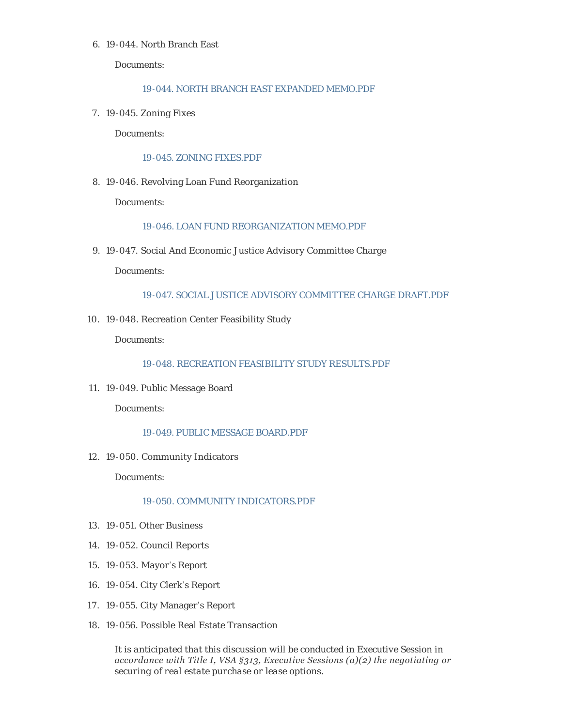#### 19-044. North Branch East 6.

Documents:

# [19-044. NORTH BRANCH EAST EXPANDED MEMO.PDF](https://www.montpelier-vt.org/AgendaCenter/ViewFile/Item/1255?fileID=9441)

19-045. Zoning Fixes 7.

Documents:

#### [19-045. ZONING FIXES.PDF](https://www.montpelier-vt.org/AgendaCenter/ViewFile/Item/1254?fileID=9324)

19-046. Revolving Loan Fund Reorganization 8.

Documents:

# [19-046. LOAN FUND REORGANIZATION MEMO.PDF](https://www.montpelier-vt.org/AgendaCenter/ViewFile/Item/1253?fileID=9325)

19-047. Social And Economic Justice Advisory Committee Charge 9.

Documents:

# [19-047. SOCIAL JUSTICE ADVISORY COMMITTEE CHARGE DRAFT.PDF](https://www.montpelier-vt.org/AgendaCenter/ViewFile/Item/1250?fileID=9353)

19-048. Recreation Center Feasibility Study 10.

Documents:

# [19-048. RECREATION FEASIBILITY STUDY RESULTS.PDF](https://www.montpelier-vt.org/AgendaCenter/ViewFile/Item/1258?fileID=9326)

19-049. Public Message Board 11.

Documents:

## [19-049. PUBLIC MESSAGE BOARD.PDF](https://www.montpelier-vt.org/AgendaCenter/ViewFile/Item/1257?fileID=9354)

19-050. Community Indicators 12.

Documents:

## [19-050. COMMUNITY INDICATORS.PDF](https://www.montpelier-vt.org/AgendaCenter/ViewFile/Item/1259?fileID=9335)

- 19-051. Other Business 13.
- 19-052. Council Reports 14.
- 19-053. Mayor 's Report 15.
- 19-054. City Clerk's Report 16.
- 19-055. City Manager 's Report 17.
- 19-056. Possible Real Estate Transaction 18.

*It is anticipated that this discussion will be conducted in Executive Session in accordance with Title I, VSA §313, Executive Sessions (a)(2) the negotiating or securing of real estate purchase or lease options.*